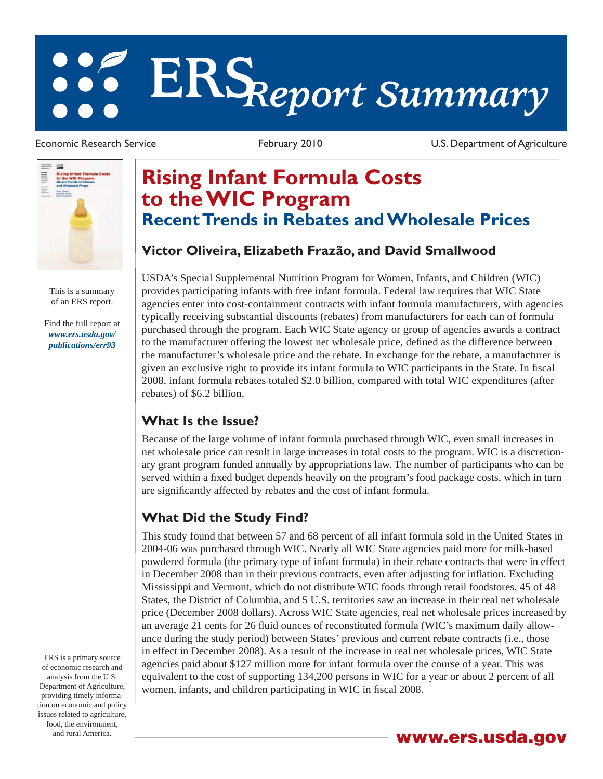# **ERS***Report Summary*

Economic Research Service **February 2010** February 2010 U.S. Department of Agriculture



This is a summary of an ERS report.

[Find the full report at](/publications/err93)  *www.ers.usda.gov/ publications/err93*

**Rising Infant Formula Costs to the WIC Program Recent Trends in Rebates and Wholesale Prices**

## **Victor Oliveira, Elizabeth Frazão, and David Smallwood**

USDA's Special Supplemental Nutrition Program for Women, Infants, and Children (WIC) provides participating infants with free infant formula. Federal law requires that WIC State agencies enter into cost-containment contracts with infant formula manufacturers, with agencies typically receiving substantial discounts (rebates) from manufacturers for each can of formula purchased through the program. Each WIC State agency or group of agencies awards a contract to the manufacturer offering the lowest net wholesale price, defined as the difference between the manufacturer's wholesale price and the rebate. In exchange for the rebate, a manufacturer is given an exclusive right to provide its infant formula to WIC participants in the State. In fiscal 2008, infant formula rebates totaled \$2.0 billion, compared with total WIC expenditures (after rebates) of \$6.2 billion.

#### **What Is the Issue?**

Because of the large volume of infant formula purchased through WIC, even small increases in net wholesale price can result in large increases in total costs to the program. WIC is a discretionary grant program funded annually by appropriations law. The number of participants who can be served within a fixed budget depends heavily on the program's food package costs, which in turn are significantly affected by rebates and the cost of infant formula.

# **What Did the Study Find?**

This study found that between 57 and 68 percent of all infant formula sold in the United States in 2004-06 was purchased through WIC. Nearly all WIC State agencies paid more for milk-based powdered formula (the primary type of infant formula) in their rebate contracts that were in effect in December 2008 than in their previous contracts, even after adjusting for inflation. Excluding Mississippi and Vermont, which do not distribute WIC foods through retail foodstores, 45 of 48 States, the District of Columbia, and 5 U.S. territories saw an increase in their real net wholesale price (December 2008 dollars). Across WIC State agencies, real net wholesale prices increased by an average 21 cents for 26 fluid ounces of reconstituted formula (WIC's maximum daily allowance during the study period) between States' previous and current rebate contracts (i.e., those in effect in December 2008). As a result of the increase in real net wholesale prices, WIC State agencies paid about \$127 million more for infant formula over the course of a year. This was equivalent to the cost of supporting 134,200 persons in WIC for a year or about 2 percent of all women, infants, and children participating in WIC in fiscal 2008.

ERS is a primary source of economic research and analysis from the U.S. Department of Agriculture, providing timely information on economic and policy issues related to agriculture, food, the environment,

and rural America. **www.ers.usda.gov**